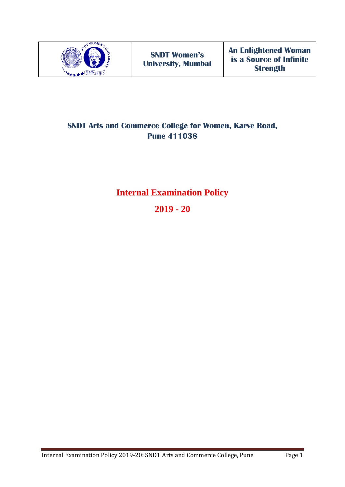

## **SNDT Arts and Commerce College for Women, Karve Road, Pune 411038**

# **Internal Examination Policy**

**2019 - 20**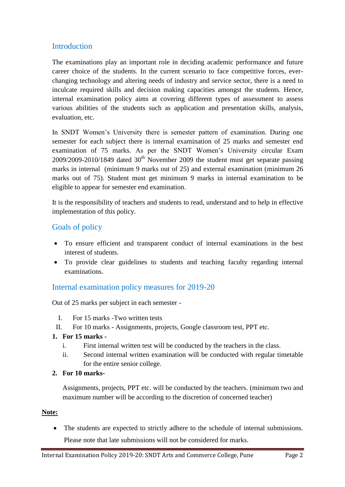## **Introduction**

The examinations play an important role in deciding academic performance and future career choice of the students. In the current scenario to face competitive forces, everchanging technology and altering needs of industry and service sector, there is a need to inculcate required skills and decision making capacities amongst the students. Hence, internal examination policy aims at covering different types of assessment to assess various abilities of the students such as application and presentation skills, analysis, evaluation, etc.

In SNDT Women's University there is semester pattern of examination. During one semester for each subject there is internal examination of 25 marks and semester end examination of 75 marks. As per the SNDT Women's University circular Exam  $2009/2009-2010/1849$  dated  $30<sup>th</sup>$  November 2009 the student must get separate passing marks in internal (minimum 9 marks out of 25) and external examination (minimum 26 marks out of 75). Student must get minimum 9 marks in internal examination to be eligible to appear for semester end examination.

It is the responsibility of teachers and students to read, understand and to help in effective implementation of this policy.

## Goals of policy

- To ensure efficient and transparent conduct of internal examinations in the best interest of students.
- To provide clear guidelines to students and teaching faculty regarding internal examinations.

### Internal examination policy measures for 2019-20

Out of 25 marks per subject in each semester -

- I. For 15 marks -Two written tests
- II. For 10 marks Assignments, projects, Google classroom test, PPT etc.

#### **1. For 15 marks -**

- i. First internal written test will be conducted by the teachers in the class.
- ii. Second internal written examination will be conducted with regular timetable for the entire senior college.

#### **2. For 10 marks-**

Assignments, projects, PPT etc. will be conducted by the teachers. (minimum two and maximum number will be according to the discretion of concerned teacher)

#### **Note:**

• The students are expected to strictly adhere to the schedule of internal submissions. Please note that late submissions will not be considered for marks.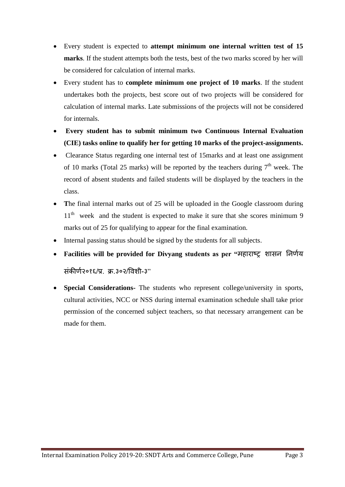- Every student is expected to **attempt minimum one internal written test of 15 marks**. If the student attempts both the tests, best of the two marks scored by her will be considered for calculation of internal marks.
- Every student has to **complete minimum one project of 10 marks**. If the student undertakes both the projects, best score out of two projects will be considered for calculation of internal marks. Late submissions of the projects will not be considered for internals.
- **Every student has to submit minimum two Continuous Internal Evaluation (CIE) tasks online to qualify her for getting 10 marks of the project-assignments.**
- Clearance Status regarding one internal test of 15marks and at least one assignment of 10 marks (Total 25 marks) will be reported by the teachers during  $7<sup>th</sup>$  week. The record of absent students and failed students will be displayed by the teachers in the class.
- The final internal marks out of 25 will be uploaded in the Google classroom during  $11<sup>th</sup>$  week and the student is expected to make it sure that she scores minimum 9 marks out of 25 for qualifying to appear for the final examination.
- Internal passing status should be signed by the students for all subjects.
- **Facilities will be provided for Divyang students as per "**महाराष्ट्र शासन ननर्णय संकीर्ण२०१६/प्र. क्र.३०२/विशी-३"
- **Special Considerations-** The students who represent college/university in sports, cultural activities, NCC or NSS during internal examination schedule shall take prior permission of the concerned subject teachers, so that necessary arrangement can be made for them.